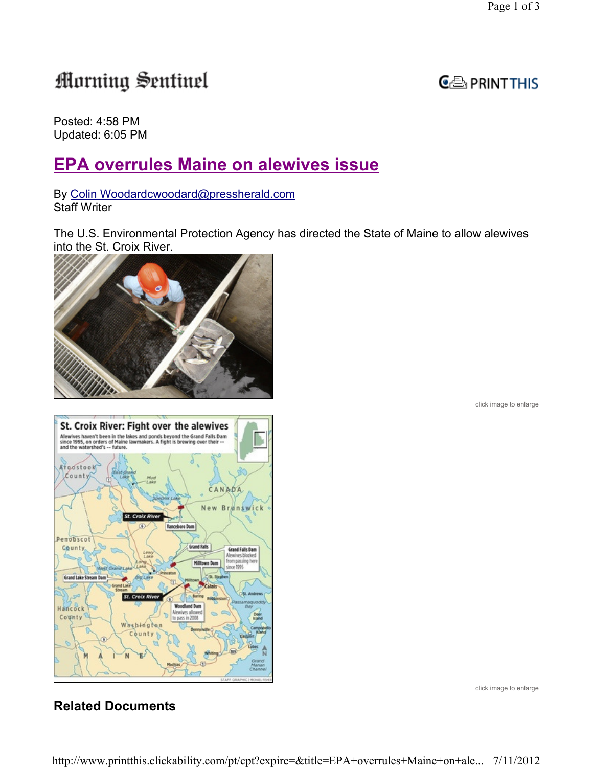# Morning Sentinel



Posted: 4:58 PM Updated: 6:05 PM

## EPA overrules Maine on alewives issue

By Colin Woodardcwoodard@pressherald.com Staff Writer

The U.S. Environmental Protection Agency has directed the State of Maine to allow alewives into the St. Croix River.







click image to enlarge

### Related Documents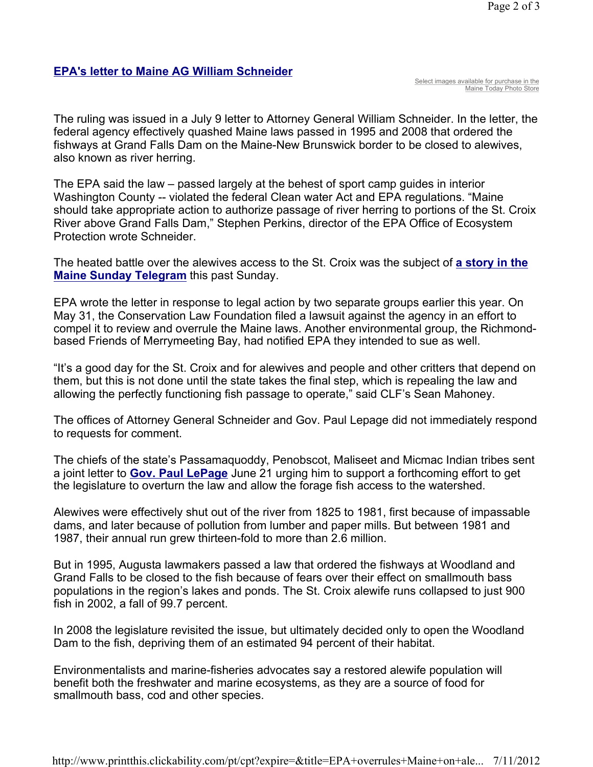#### EPA's letter to Maine AG William Schneider

Select images available for purchase in the Maine Today Photo Store

The ruling was issued in a July 9 letter to Attorney General William Schneider. In the letter, the federal agency effectively quashed Maine laws passed in 1995 and 2008 that ordered the fishways at Grand Falls Dam on the Maine-New Brunswick border to be closed to alewives, also known as river herring.

The EPA said the law – passed largely at the behest of sport camp guides in interior Washington County -- violated the federal Clean water Act and EPA regulations. "Maine should take appropriate action to authorize passage of river herring to portions of the St. Croix River above Grand Falls Dam," Stephen Perkins, director of the EPA Office of Ecosystem Protection wrote Schneider.

The heated battle over the alewives access to the St. Croix was the subject of a story in the Maine Sunday Telegram this past Sunday.

EPA wrote the letter in response to legal action by two separate groups earlier this year. On May 31, the Conservation Law Foundation filed a lawsuit against the agency in an effort to compel it to review and overrule the Maine laws. Another environmental group, the Richmondbased Friends of Merrymeeting Bay, had notified EPA they intended to sue as well.

"It's a good day for the St. Croix and for alewives and people and other critters that depend on them, but this is not done until the state takes the final step, which is repealing the law and allowing the perfectly functioning fish passage to operate," said CLF's Sean Mahoney.

The offices of Attorney General Schneider and Gov. Paul Lepage did not immediately respond to requests for comment.

The chiefs of the state's Passamaquoddy, Penobscot, Maliseet and Micmac Indian tribes sent a joint letter to **Gov. Paul LePage** June 21 urging him to support a forthcoming effort to get the legislature to overturn the law and allow the forage fish access to the watershed.

Alewives were effectively shut out of the river from 1825 to 1981, first because of impassable dams, and later because of pollution from lumber and paper mills. But between 1981 and 1987, their annual run grew thirteen-fold to more than 2.6 million.

But in 1995, Augusta lawmakers passed a law that ordered the fishways at Woodland and Grand Falls to be closed to the fish because of fears over their effect on smallmouth bass populations in the region's lakes and ponds. The St. Croix alewife runs collapsed to just 900 fish in 2002, a fall of 99.7 percent.

In 2008 the legislature revisited the issue, but ultimately decided only to open the Woodland Dam to the fish, depriving them of an estimated 94 percent of their habitat.

Environmentalists and marine-fisheries advocates say a restored alewife population will benefit both the freshwater and marine ecosystems, as they are a source of food for smallmouth bass, cod and other species.